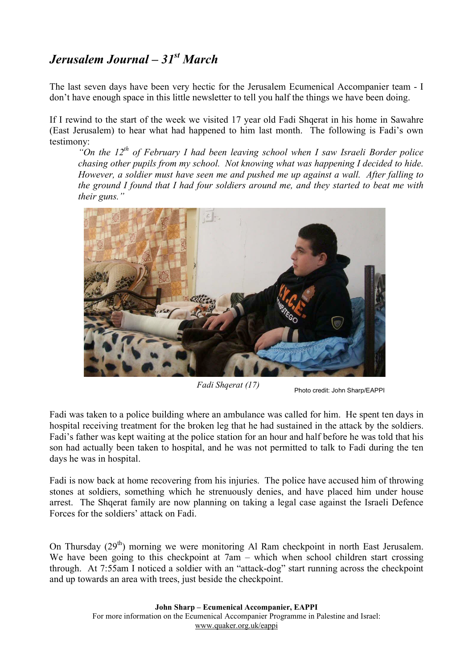## *Jerusalem Journal – 31st March*

The last seven days have been very hectic for the Jerusalem Ecumenical Accompanier team - I don't have enough space in this little newsletter to tell you half the things we have been doing.

If I rewind to the start of the week we visited 17 year old Fadi Shqerat in his home in Sawahre (East Jerusalem) to hear what had happened to him last month. The following is Fadi's own testimony:

*"On the 12th of February I had been leaving school when I saw Israeli Border police chasing other pupils from my school. Not knowing what was happening I decided to hide. However, a soldier must have seen me and pushed me up against a wall. After falling to the ground I found that I had four soldiers around me, and they started to beat me with their guns."* 



*Fadi Shqerat (17)* Photo credit: John Sharp/EAPPI

Fadi was taken to a police building where an ambulance was called for him. He spent ten days in hospital receiving treatment for the broken leg that he had sustained in the attack by the soldiers. Fadi's father was kept waiting at the police station for an hour and half before he was told that his son had actually been taken to hospital, and he was not permitted to talk to Fadi during the ten days he was in hospital.

Fadi is now back at home recovering from his injuries. The police have accused him of throwing stones at soldiers, something which he strenuously denies, and have placed him under house arrest. The Shqerat family are now planning on taking a legal case against the Israeli Defence Forces for the soldiers' attack on Fadi.

On Thursday  $(29<sup>th</sup>)$  morning we were monitoring Al Ram checkpoint in north East Jerusalem. We have been going to this checkpoint at 7am – which when school children start crossing through. At 7:55am I noticed a soldier with an "attack-dog" start running across the checkpoint and up towards an area with trees, just beside the checkpoint.